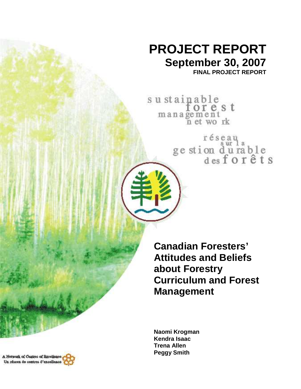# **PROJECT REPORT September 30, 2007**

**FINAL PROJECT REPORT** 

sustainable<br>for e s t management<br>n et work

réseau<br>ge stion d'urable<br>des forêts

**Canadian Foresters' Attitudes and Beliefs about Forestry Curriculum and Forest Management** 

**Naomi Krogman Kendra Isaac Trena Allen Peggy Smith** 

A Network of Cantres of Rzeelisnee, Un réseau de centres d'excellence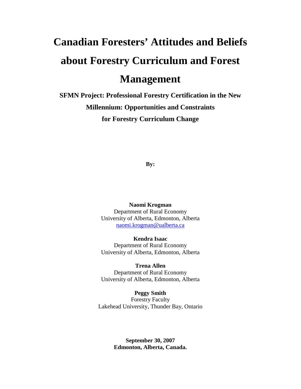# **Canadian Foresters' Attitudes and Beliefs about Forestry Curriculum and Forest Management**

**SFMN Project: Professional Forestry Certification in the New Millennium: Opportunities and Constraints for Forestry Curriculum Change** 

**By:** 

**Naomi Krogman**  Department of Rural Economy University of Alberta, Edmonton, Alberta naomi.krogman@ualberta.ca

**Kendra Isaac**  Department of Rural Economy University of Alberta, Edmonton, Alberta

**Trena Allen**  Department of Rural Economy University of Alberta, Edmonton, Alberta

**Peggy Smith**  Forestry Faculty Lakehead University, Thunder Bay, Ontario

> **September 30, 2007 Edmonton, Alberta, Canada.**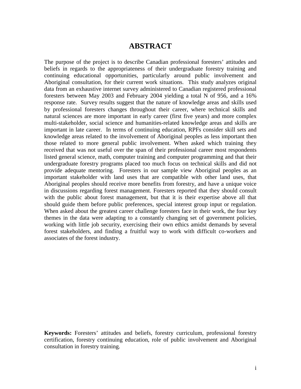#### **ABSTRACT**

The purpose of the project is to describe Canadian professional foresters' attitudes and beliefs in regards to the appropriateness of their undergraduate forestry training and continuing educational opportunities, particularly around public involvement and Aboriginal consultation, for their current work situations. This study analyzes original data from an exhaustive internet survey administered to Canadian registered professional foresters between May 2003 and February 2004 yielding a total N of 956, and a 16% response rate. Survey results suggest that the nature of knowledge areas and skills used by professional foresters changes throughout their career, where technical skills and natural sciences are more important in early career (first five years) and more complex multi-stakeholder, social science and humanities-related knowledge areas and skills are important in late career. In terms of continuing education, RPFs consider skill sets and knowledge areas related to the involvement of Aboriginal peoples as less important then those related to more general public involvement. When asked which training they received that was not useful over the span of their professional career most respondents listed general science, math, computer training and computer programming and that their undergraduate forestry programs placed too much focus on technical skills and did not provide adequate mentoring. Foresters in our sample view Aboriginal peoples as an important stakeholder with land uses that are compatible with other land uses, that Aboriginal peoples should receive more benefits from forestry, and have a unique voice in discussions regarding forest management. Foresters reported that they should consult with the public about forest management, but that it is their expertise above all that should guide them before public preferences, special interest group input or regulation. When asked about the greatest career challenge foresters face in their work, the four key themes in the data were adapting to a constantly changing set of government policies, working with little job security, exercising their own ethics amidst demands by several forest stakeholders, and finding a fruitful way to work with difficult co-workers and associates of the forest industry.

**Keywords:** Foresters' attitudes and beliefs, forestry curriculum, professional forestry certification, forestry continuing education, role of public involvement and Aboriginal consultation in forestry training.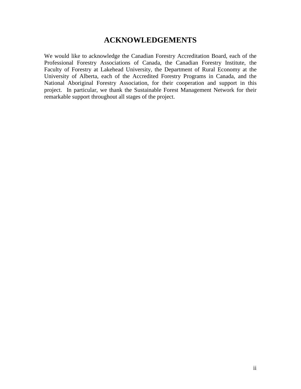### **ACKNOWLEDGEMENTS**

We would like to acknowledge the Canadian Forestry Accreditation Board, each of the Professional Forestry Associations of Canada, the Canadian Forestry Institute, the Faculty of Forestry at Lakehead University, the Department of Rural Economy at the University of Alberta, each of the Accredited Forestry Programs in Canada, and the National Aboriginal Forestry Association, for their cooperation and support in this project. In particular, we thank the Sustainable Forest Management Network for their remarkable support throughout all stages of the project.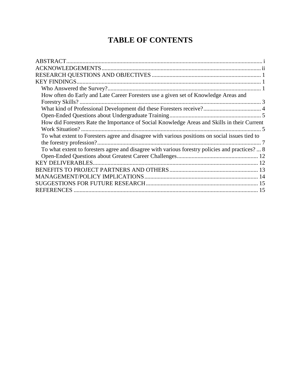# **TABLE OF CONTENTS**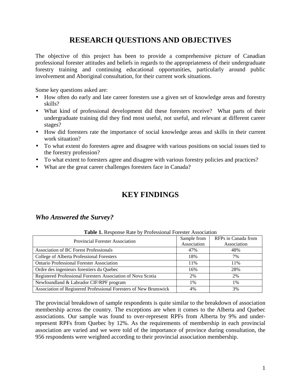# **RESEARCH QUESTIONS AND OBJECTIVES**

The objective of this project has been to provide a comprehensive picture of Canadian professional forester attitudes and beliefs in regards to the appropriateness of their undergraduate forestry training and continuing educational opportunities, particularly around public involvement and Aboriginal consultation, for their current work situations.

Some key questions asked are:

- How often do early and late career foresters use a given set of knowledge areas and forestry skills?
- What kind of professional development did these foresters receive? What parts of their undergraduate training did they find most useful, not useful, and relevant at different career stages?
- How did foresters rate the importance of social knowledge areas and skills in their current work situation?
- To what extent do foresters agree and disagree with various positions on social issues tied to the forestry profession?
- To what extent to foresters agree and disagree with various forestry policies and practices?
- What are the great career challenges foresters face in Canada?

## **KEY FINDINGS**

#### *Who Answered the Survey?*

| <b>Provincial Forester Association</b>                            | Sample from<br>Association | RFPs in Canada from<br>Association |
|-------------------------------------------------------------------|----------------------------|------------------------------------|
| <b>Association of BC Forest Professionals</b>                     | 47%                        | 48%                                |
| College of Alberta Professional Foresters                         | 18%                        | 7%                                 |
| <b>Ontario Professional Forester Association</b>                  | 11%                        | 11%                                |
| Ordre des ingenieurs forestiers du Quebec                         | 16%                        | 28%                                |
| Registered Professional Foresters Association of Nova Scotia      | 2%                         | 2%                                 |
| Newfoundland & Labrador CIF/RPF program                           | 1%                         | 1%                                 |
| Association of Registered Professional Foresters of New Brunswick | 4%                         | 3%                                 |

**Table 1.** Response Rate by Professional Forester Association

The provincial breakdown of sample respondents is quite similar to the breakdown of association membership across the country. The exceptions are when it comes to the Alberta and Quebec associations. Our sample was found to over-represent RPFs from Alberta by 9% and underrepresent RPFs from Quebec by 12%. As the requirements of membership in each provincial association are varied and we were told of the importance of province during consultation, the 956 respondents were weighted according to their provincial association membership.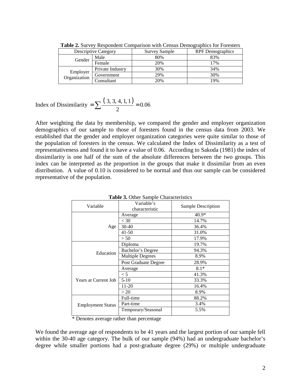| <b>Descriptive Category</b> |                  | <b>Survey Sample</b> | <b>RPF</b> Demographics |
|-----------------------------|------------------|----------------------|-------------------------|
| Gender                      | Male             | 80%                  | 83%                     |
|                             | Female           | 20%                  | 17%                     |
|                             | Private Industry | 30%                  | 34%                     |
| Employer<br>Organization    | Government       | 29%                  | 30%                     |
|                             | Consultant       | 20%                  | 19%                     |

**Table 2.** Survey Respondent Comparison with Census Demographics for Foresters

Index of Dissimilarity = 
$$
\sum \frac{(3, 3, 4, 1, 1)}{2} = 0.06
$$

After weighting the data by membership, we compared the gender and employer organization demographics of our sample to those of foresters found in the census data from 2003. We established that the gender and employer organization categories were quite similar to those of the population of foresters in the census. We calculated the Index of Dissimilarity as a test of representativeness and found it to have a value of 0.06. According to Sakoda (1981) the index of dissimilarity is one half of the sum of the absolute differences between the two groups. This index can be interpreted as the proportion in the groups that make it dissimilar from an even distribution. A value of 0.10 is considered to be normal and thus our sample can be considered representative of the population.

| Variable                 | Variable's<br>characteristic | Sample Description |
|--------------------------|------------------------------|--------------------|
|                          | Average                      | $40.9*$            |
|                          | $<$ 30                       | 14.7%              |
| Age                      | 30-40                        | 36.4%              |
|                          | $41 - 50$                    | 31.0%              |
|                          | > 50                         | 17.9%              |
|                          | Diploma                      | 19.7%              |
| Education                | Bachelor's Degree            | 94.3%              |
|                          | <b>Multiple Degrees</b>      | 8.9%               |
|                          | Post Graduate Degree         | 28.9%              |
|                          | Average                      | $8.1*$             |
|                          | < 5                          | 41.3%              |
| Years at Current Job     | $5-10$                       | 33.3%              |
|                          | 11-20                        | 16.4%              |
|                          | >20                          | 8.9%               |
|                          | Full-time                    | 88.2%              |
| <b>Employment Status</b> | Part-time                    | 3.4%               |
|                          | Temporary/Seasonal           | 5.5%               |

**Table 3.** Other Sample Characteristics

\* Denotes average rather than percentage

We found the average age of respondents to be 41 years and the largest portion of our sample fell within the 30-40 age category. The bulk of our sample (94%) had an undergraduate bachelor's degree while smaller portions had a post-graduate degree (29%) or multiple undergraduate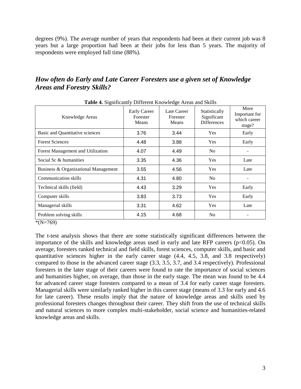degrees (9%). The average number of years that respondents had been at their current job was 8 years but a large proportion had been at their jobs for less than 5 years. The majority of respondents were employed full time (88%).

#### *How often do Early and Late Career Foresters use a given set of Knowledge Areas and Forestry Skills?*

| Knowledge Areas                      | <b>Early Career</b><br>Forester<br>Means | Late Career<br>Forester<br>Means | Statistically<br>Significant<br><b>Differences</b> | More<br>Important for<br>which career<br>stage? |
|--------------------------------------|------------------------------------------|----------------------------------|----------------------------------------------------|-------------------------------------------------|
| Basic and Quantitative sciences      | 3.76                                     | 3.44                             | Yes                                                | Early                                           |
| <b>Forest Sciences</b>               | 4.48                                     | 3.88                             | Yes                                                | Early                                           |
| Forest Management and Utilization    | 4.07                                     | 4.49                             | N <sub>0</sub>                                     |                                                 |
| Social Sc & humanities               | 3.35                                     | 4.36                             | Yes                                                | Late                                            |
| Business & Organizational Management | 3.55                                     | 4.56                             | Yes                                                | Late                                            |
| <b>Communication skills</b>          | 4.31                                     | 4.80                             | N <sub>o</sub>                                     |                                                 |
| Technical skills (field)             | 4.43                                     | 3.29                             | Yes                                                | Early                                           |
| Computer skills                      | 3.83                                     | 3.73                             | Yes                                                | Early                                           |
| Managerial skills                    | 3.31                                     | 4.62                             | Yes                                                | Late                                            |
| Problem solving skills               | 4.15                                     | 4.68                             | N <sub>0</sub>                                     |                                                 |

**Table 4.** Significantly Different Knowledge Areas and Skills

 $*(N=769)$ 

The t-test analysis shows that there are some statistically significant differences between the importance of the skills and knowledge areas used in early and late RFP careers  $(p<0.05)$ . On average, foresters ranked technical and field skills, forest sciences, computer skills, and basic and quantitative sciences higher in the early career stage (4.4, 4.5, 3.8, and 3.8 respectively) compared to those in the advanced career stage (3.3, 3.5, 3.7, and 3.4 respectively). Professional foresters in the later stage of their careers were found to rate the importance of social sciences and humanities higher, on average, than those in the early stage. The mean was found to be 4.4 for advanced career stage foresters compared to a mean of 3.4 for early career stage foresters. Managerial skills were similarly ranked higher in this career stage (means of 3.3 for early and 4.6 for late career). These results imply that the nature of knowledge areas and skills used by professional foresters changes throughout their career. They shift from the use of technical skills and natural sciences to more complex multi-stakeholder, social science and humanities-related knowledge areas and skills.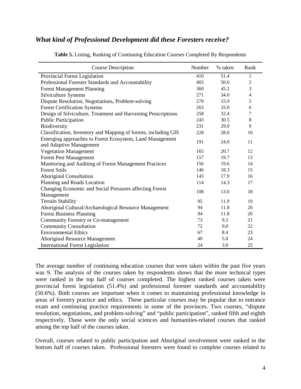#### *What kind of Professional Development did these Foresters receive?*

| <b>Course Description</b>                                                           | Number | % taken | Rank           |
|-------------------------------------------------------------------------------------|--------|---------|----------------|
| Provincial Forest Legislation                                                       | 410    | 51.4    | 1              |
| Professional Forester Standards and Accountability                                  | 403    | 50.6    | $\overline{c}$ |
| <b>Forest Management Planning</b>                                                   | 360    | 45.2    | 3              |
| Silviculture Systems                                                                | 271    | 34.0    | $\overline{4}$ |
| Dispute Resolution, Negotiations, Problem-solving                                   | 270    | 33.9    | 5              |
| <b>Forest Certification Systems</b>                                                 | 263    | 33.0    | 6              |
| Design of Silviculture, Treatment and Harvesting Prescriptions                      | 258    | 32.4    | 7              |
| <b>Public Participation</b>                                                         | 243    | 30.5    | 8              |
| Biodiversity                                                                        | 231    | 29.0    | 9              |
| Classification, Inventory and Mapping of forests, including GIS                     | 228    | 28.6    | 10             |
| Emerging approaches to Forest Ecosystem, Land Management<br>and Adaptive Management | 191    | 24.0    | 11             |
| <b>Vegetation Management</b>                                                        | 165    | 20.7    | 12             |
| <b>Forest Pest Management</b>                                                       | 157    | 19.7    | 13             |
| Monitoring and Auditing of Forest Management Practices                              | 156    | 19.6    | 14             |
| <b>Forest Soils</b>                                                                 | 146    | 18.3    | 15             |
| <b>Aboriginal Consultation</b>                                                      | 143    | 17.9    | 16             |
| Planning and Roads Location                                                         | 114    | 14.3    | 17             |
| Changing Economic and Social Pressures affecting Forest<br>Management               | 108    | 13.6    | 18             |
| <b>Terrain Stability</b>                                                            | 95     | 11.9    | 19             |
| Aboriginal Cultural/Archaeological Resource Management                              | 94     | 11.8    | 20             |
| <b>Forest Business Planning</b>                                                     | 94     | 11.8    | 20             |
| Community Forestry or Co-management                                                 | 73     | 9.2     | 21             |
| <b>Community Consultation</b>                                                       | 72     | 9.0     | 22             |
| <b>Environmental Ethics</b>                                                         | 67     | 8.4     | 23             |
| Aboriginal Resource Management                                                      | 40     | 5.0     | 24             |
| <b>International Forest Legislation</b>                                             | 24     | 3.0     | 25             |

**Table 5.** Listing, Ranking of Continuing Education Courses Completed By Respondents

The average number of continuing education courses that were taken within the past five years was 9. The analysis of the courses taken by respondents shows that the more technical types were ranked in the top half of courses completed. The highest ranked courses taken were provincial forest legislation (51.4%) and professional forester standards and accountability (50.6%). Both courses are important when it comes to maintaining professional knowledge in areas of forestry practice and ethics. These particular courses may be popular due to entrance exam and continuing practice requirements in some of the provinces. Two courses, "dispute resolution, negotiations, and problem-solving" and "public participation", ranked fifth and eighth respectively. These were the only social sciences and humanities-related courses that ranked among the top half of the courses taken.

Overall, courses related to public participation and Aboriginal involvement were ranked in the bottom half of courses taken. Professional foresters were found to complete courses related to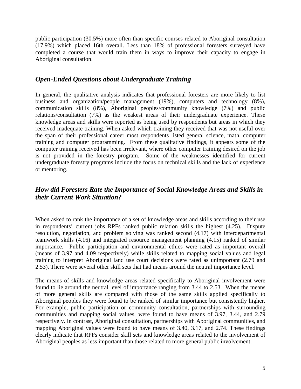public participation (30.5%) more often than specific courses related to Aboriginal consultation (17.9%) which placed 16th overall. Less than 18% of professional foresters surveyed have completed a course that would train them in ways to improve their capacity to engage in Aboriginal consultation.

#### *Open-Ended Questions about Undergraduate Training*

In general, the qualitative analysis indicates that professional foresters are more likely to list business and organization/people management (19%), computers and technology (8%), communication skills (8%), Aboriginal peoples/community knowledge (7%) and public relations/consultation (7%) as the weakest areas of their undergraduate experience. These knowledge areas and skills were reported as being used by respondents but areas in which they received inadequate training. When asked which training they received that was not useful over the span of their professional career most respondents listed general science, math, computer training and computer programming. From these qualitative findings, it appears some of the computer training received has been irrelevant, where other computer training desired on the job is not provided in the forestry program. Some of the weaknesses identified for current undergraduate forestry programs include the focus on technical skills and the lack of experience or mentoring.

#### *How did Foresters Rate the Importance of Social Knowledge Areas and Skills in their Current Work Situation?*

When asked to rank the importance of a set of knowledge areas and skills according to their use in respondents' current jobs RPFs ranked public relation skills the highest (4.25). Dispute resolution, negotiation, and problem solving was ranked second (4.17) with interdepartmental teamwork skills (4.16) and integrated resource management planning (4.15) ranked of similar importance. Public participation and environmental ethics were rated as important overall (means of 3.97 and 4.09 respectively) while skills related to mapping social values and legal training to interpret Aboriginal land use court decisions were rated as unimportant (2.79 and 2.53). There were several other skill sets that had means around the neutral importance level.

The means of skills and knowledge areas related specifically to Aboriginal involvement were found to lie around the neutral level of importance ranging from 3.44 to 2.53. When the means of more general skills are compared with those of the same skills applied specifically to Aboriginal peoples they were found to be ranked of similar importance but consistently higher. For example, public participation or community consultation, partnerships with surrounding communities and mapping social values, were found to have means of 3.97, 3.44, and 2.79 respectively. In contrast, Aboriginal consultation, partnerships with Aboriginal communities, and mapping Aboriginal values were found to have means of 3.40, 3.17, and 2.74. These findings clearly indicate that RPFs consider skill sets and knowledge areas related to the involvement of Aboriginal peoples as less important than those related to more general public involvement.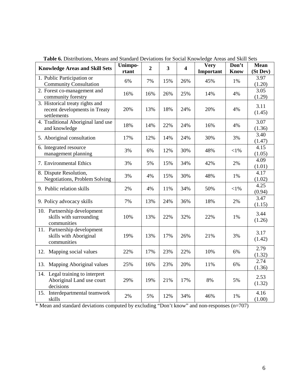| <b>Knowledge Areas and Skill Sets</b>                                           | Unimpo-<br>rtant | $\overline{2}$ | $\overline{\mathbf{3}}$ | $\overline{\mathbf{4}}$ | <b>Very</b><br>Important | Don't<br><b>Know</b> | <b>Mean</b><br>(St Dev) |
|---------------------------------------------------------------------------------|------------------|----------------|-------------------------|-------------------------|--------------------------|----------------------|-------------------------|
| 1. Public Participation or<br><b>Community Consultation</b>                     | 6%               | 7%             | 15%                     | 26%                     | 45%                      | 1%                   | 3.97<br>(1.20)          |
| 2. Forest co-management and<br>community forestry                               | 16%              | 16%            | 26%                     | 25%                     | 14%                      | 4%                   | 3.05<br>(1.29)          |
| 3. Historical treaty rights and<br>recent developments in Treaty<br>settlements | 20%              | 13%            | 18%                     | 24%                     | 20%                      | 4%                   | 3.11<br>(1.45)          |
| 4. Traditional Aboriginal land use<br>and knowledge                             | 18%              | 14%            | 22%                     | 24%                     | 16%                      | 4%                   | 3.07<br>(1.36)          |
| 5. Aboriginal consultation                                                      | 17%              | 12%            | 14%                     | 24%                     | 30%                      | 3%                   | 3.40<br>(1.47)          |
| 6. Integrated resource<br>management planning                                   | 3%               | 6%             | 12%                     | 30%                     | 48%                      | $<$ 1%               | 4.15<br>(1.05)          |
| 7. Environmental Ethics                                                         | 3%               | 5%             | 15%                     | 34%                     | 42%                      | 2%                   | 4.09<br>(1.01)          |
| 8. Dispute Resolution,<br><b>Negotiations, Problem Solving</b>                  | 3%               | 4%             | 15%                     | 30%                     | 48%                      | 1%                   | 4.17<br>(1.02)          |
| 9. Public relation skills                                                       | 2%               | 4%             | 11%                     | 34%                     | 50%                      | $<$ 1%               | 4.25<br>(0.94)          |
| 9. Policy advocacy skills                                                       | 7%               | 13%            | 24%                     | 36%                     | 18%                      | 2%                   | 3.47<br>(1.15)          |
| 10. Partnership development<br>skills with surrounding<br>communities           | 10%              | 13%            | 22%                     | 32%                     | 22%                      | 1%                   | 3.44<br>(1.26)          |
| 11. Partnership development<br>skills with Aboriginal<br>communities            | 19%              | 13%            | 17%                     | 26%                     | 21%                      | 3%                   | 3.17<br>(1.42)          |
| 12. Mapping social values                                                       | 22%              | 17%            | 23%                     | 22%                     | 10%                      | 6%                   | 2.79<br>(1.32)          |
| 13.<br>Mapping Aboriginal values                                                | 25%              | 16%            | 23%                     | 20%                     | 11%                      | 6%                   | 2.74<br>(1.36)          |
| Legal training to interpret<br>14.<br>Aboriginal Land use court<br>decisions    | 29%              | 19%            | 21%                     | 17%                     | 8%                       | 5%                   | 2.53<br>(1.32)          |
| Interdepartmental teamwork<br>15.<br>skills                                     | 2%               | 5%             | 12%                     | 34%                     | 46%                      | 1%                   | 4.16<br>(1.00)          |

Table 6. Distributions, Means and Standard Deviations for Social Knowledge Areas and Skill Sets

\* Mean and standard deviations computed by excluding "Don't know" and non-responses (n=707)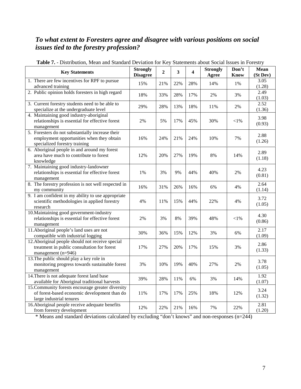## *To what extent to Foresters agree and disagree with various positions on social issues tied to the forestry profession?*

| <b>Key Statements</b>                                                                                                          | <b>Strongly</b><br><b>Disagree</b> | $\overline{2}$ | 3   | $\overline{\mathbf{4}}$ | <b>Strongly</b><br>Agree | Don't<br><b>Know</b> | Mean<br>(St Dev) |
|--------------------------------------------------------------------------------------------------------------------------------|------------------------------------|----------------|-----|-------------------------|--------------------------|----------------------|------------------|
| 1. There are few incentives for RPF to pursue<br>advanced training                                                             | 15%                                | 21%            | 22% | 28%                     | 14%                      | 1%                   | 3.05<br>(1.28)   |
| 2. Public opinion holds foresters in high regard                                                                               | 18%                                | 33%            | 28% | 17%                     | 2%                       | 3%                   | 2.49<br>(1.03)   |
| 3. Current forestry students need to be able to<br>specialize at the undergraduate level                                       | 29%                                | 28%            | 13% | 18%                     | 11%                      | 2%                   | 2.52<br>(1.36)   |
| 4. Maintaining good industry-aboriginal<br>relationships is essential for effective forest<br>management                       | 2%                                 | 5%             | 17% | 45%                     | 30%                      | $<$ l $%$            | 3.98<br>(0.93)   |
| 5. Foresters do not substantially increase their<br>employment opportunities when they obtain<br>specialized forestry training | 16%                                | 24%            | 21% | 24%                     | 10%                      | 7%                   | 2.88<br>(1.26)   |
| 6. Aboriginal people in and around my forest<br>area have much to contribute to forest<br>knowledge                            | 12%                                | 20%            | 27% | 19%                     | 8%                       | 14%                  | 2.89<br>(1.18)   |
| 7. Maintaining good industry-landowner<br>relationships is essential for effective forest<br>management                        | 1%                                 | 3%             | 9%  | 44%                     | 40%                      | 2%                   | 4.23<br>(0.81)   |
| 8. The forestry profession is not well respected in<br>my community                                                            | 16%                                | 31%            | 26% | 16%                     | 6%                       | 4%                   | 2.64<br>(1.14)   |
| 9. I am confident in my ability to use appropriate<br>scientific methodologies in applied forestry<br>research                 | 4%                                 | 11%            | 15% | 44%                     | 22%                      | 4%                   | 3.72<br>(1.05)   |
| 10. Maintaining good government-industry<br>relationships is essential for effective forest<br>management                      | 2%                                 | 3%             | 8%  | 39%                     | 48%                      | $<$ 1%               | 4.30<br>(0.86)   |
| 11. Aboriginal people's land uses are not<br>compatible with industrial logging                                                | 30%                                | 36%            | 15% | 12%                     | 3%                       | 6%                   | 2.17<br>(1.09)   |
| 12. Aboriginal people should not receive special<br>treatment in public consultation for forest<br>management $(n=946)$        | 17%                                | 27%            | 20% | 17%                     | 15%                      | 3%                   | 2.86<br>(1.33)   |
| 13. The public should play a key role in<br>monitoring progress towards sustainable forest<br>management                       | 3%                                 | 10%            | 19% | 40%                     | 27%                      | $2\%$                | 3.78<br>(1.05)   |
| 14. There is not adequate forest land base<br>available for Aboriginal traditional harvests                                    | 39%                                | 28%            | 11% | 6%                      | 3%                       | 14%                  | 1.92<br>(1.07)   |
| 15. Community forests encourage greater diversity<br>of forest-based economic development than do<br>large industrial tenures  | 11%                                | 17%            | 17% | 25%                     | 18%                      | 12%                  | 3.24<br>(1.32)   |
| 16. Aboriginal people receive adequate benefits<br>from forestry development                                                   | 12%                                | 22%            | 21% | 16%                     | 7%                       | 22%                  | 2.81<br>(1.20)   |

**Table 7.** - Distribution, Mean and Standard Deviation for Key Statements about Social Issues in Forestry

\* Means and standard deviations calculated by excluding "don't knows" and non-responses (n=244)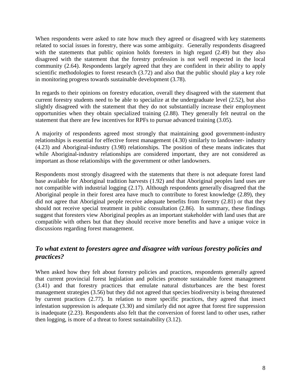When respondents were asked to rate how much they agreed or disagreed with key statements related to social issues in forestry, there was some ambiguity. Generally respondents disagreed with the statements that public opinion holds foresters in high regard (2.49) but they also disagreed with the statement that the forestry profession is not well respected in the local community (2.64). Respondents largely agreed that they are confident in their ability to apply scientific methodologies to forest research (3.72) and also that the public should play a key role in monitoring progress towards sustainable development (3.78).

In regards to their opinions on forestry education, overall they disagreed with the statement that current forestry students need to be able to specialize at the undergraduate level (2.52), but also slightly disagreed with the statement that they do not substantially increase their employment opportunities when they obtain specialized training (2.88). They generally felt neutral on the statement that there are few incentives for RPFs to pursue advanced training (3.05).

A majority of respondents agreed most strongly that maintaining good government-industry relationships is essential for effective forest management (4.30) similarly to landowner- industry (4.23) and Aboriginal-industry (3.98) relationships. The position of these means indicates that while Aboriginal-industry relationships are considered important, they are not considered as important as those relationships with the government or other landowners.

Respondents most strongly disagreed with the statements that there is not adequate forest land base available for Aboriginal tradition harvests (1.92) and that Aboriginal peoples land uses are not compatible with industrial logging (2.17). Although respondents generally disagreed that the Aboriginal people in their forest area have much to contribute to forest knowledge (2.89), they did not agree that Aboriginal people receive adequate benefits from forestry (2.81) or that they should not receive special treatment in public consultation (2.86). In summary, these findings suggest that foresters view Aboriginal peoples as an important stakeholder with land uses that are compatible with others but that they should receive more benefits and have a unique voice in discussions regarding forest management.

#### *To what extent to foresters agree and disagree with various forestry policies and practices?*

When asked how they felt about forestry policies and practices, respondents generally agreed that current provincial forest legislation and policies promote sustainable forest management (3.41) and that forestry practices that emulate natural disturbances are the best forest management strategies (3.56) but they did not agreed that species biodiversity is being threatened by current practices (2.77). In relation to more specific practices, they agreed that insect infestation suppression is adequate (3.30) and similarly did not agree that forest fire suppression is inadequate (2.23). Respondents also felt that the conversion of forest land to other uses, rather then logging, is more of a threat to forest sustainability (3.12).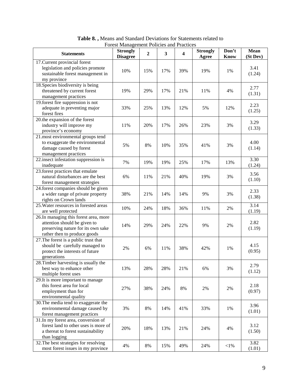| <b>Statements</b>                                                                                                                           | I OICSt Management I Oncles and I ractices<br><b>Strongly</b><br><b>Disagree</b> | $\overline{2}$ | $\mathbf{3}$ | $\overline{\mathbf{4}}$ | <b>Strongly</b><br>Agree | Don't<br><b>Know</b> | Mean<br>(St Dev) |
|---------------------------------------------------------------------------------------------------------------------------------------------|----------------------------------------------------------------------------------|----------------|--------------|-------------------------|--------------------------|----------------------|------------------|
| 17. Current provincial forest<br>legislation and policies promote<br>sustainable forest management in<br>my province                        | 10%                                                                              | 15%            | 17%          | 39%                     | 19%                      | 1%                   | 3.41<br>(1.24)   |
| 18. Species biodiversity is being<br>threatened by current forest<br>management practices                                                   | 19%                                                                              | 29%            | 17%          | 21%                     | 11%                      | 4%                   | 2.77<br>(1.31)   |
| 19. forest fire suppression is not<br>adequate in preventing major<br>forest fires                                                          | 33%                                                                              | 25%            | 13%          | 12%                     | 5%                       | 12%                  | 2.23<br>(1.25)   |
| 20.the expansion of the forest<br>industry will improve my<br>province's economy                                                            | 11%                                                                              | 20%            | 17%          | 26%                     | 23%                      | 3%                   | 3.29<br>(1.33)   |
| 21.most environmental groups tend<br>to exaggerate the environmental<br>damage caused by forest<br>management practices                     | 5%                                                                               | 8%             | 10%          | 35%                     | 41%                      | 3%                   | 4.00<br>(1.14)   |
| 22.insect infestation suppression is<br>inadequate                                                                                          | 7%                                                                               | 19%            | 19%          | 25%                     | 17%                      | 13%                  | 3.30<br>(1.24)   |
| 23. forest practices that emulate<br>natural disturbances are the best<br>forest management strategies                                      | 6%                                                                               | 11%            | 21%          | 40%                     | 19%                      | 3%                   | 3.56<br>(1.10)   |
| 24.forest companies should be given<br>a wider range of private property<br>rights on Crown lands                                           | 38%                                                                              | 21%            | 14%          | 14%                     | 9%                       | 3%                   | 2.33<br>(1.38)   |
| 25. Water resources in forested areas<br>are well protected                                                                                 | 10%                                                                              | 24%            | 18%          | 36%                     | 11%                      | 2%                   | 3.14<br>(1.19)   |
| 26.In managing this forest area, more<br>attention should be given to<br>preserving nature for its own sake<br>rather then to produce goods | 14%                                                                              | 29%            | 24%          | 22%                     | 9%                       | 2%                   | 2.82<br>(1.19)   |
| 27. The forest is a public trust that<br>should be carefully managed to<br>protect the interests of future<br>generations                   | 2%                                                                               | 6%             | 11%          | 38%                     | 42%                      | 1%                   | 4.15<br>(0.95)   |
| 28. Timber harvesting is usually the<br>best way to enhance other<br>multiple forest uses                                                   | 13%                                                                              | 28%            | 28%          | 21%                     | 6%                       | 3%                   | 2.79<br>(1.12)   |
| 29. It is more important to manage<br>this forest area for local<br>employment than for<br>environmental quality                            | 27%                                                                              | 38%            | 24%          | 8%                      | 2%                       | 2%                   | 2.18<br>(0.97)   |
| 30. The media tend to exaggerate the<br>environmental damage caused by<br>forest management practices                                       | 3%                                                                               | 8%             | 14%          | 41%                     | 33%                      | 1%                   | 3.96<br>(1.01)   |
| 31. In my forest area, conversion of<br>forest land to other uses is more of<br>a thereat to forest sustainability<br>than logging          | 20%                                                                              | 18%            | 13%          | 21%                     | 24%                      | 4%                   | 3.12<br>(1.50)   |
| 32. The best strategies for resolving<br>most forest issues in my province                                                                  | 4%                                                                               | 8%             | 15%          | 49%                     | 24%                      | $<$ 1%               | 3.82<br>(1.01)   |

**Table 8. ,** Means and Standard Deviations for Statements related to Forest Management Policies and Practices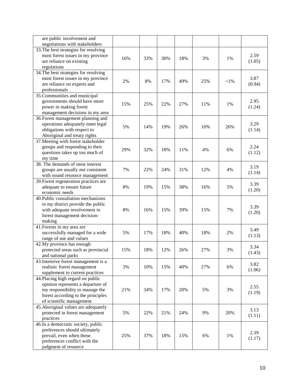| are public involvement and            |     |     |     |     |     |          |        |
|---------------------------------------|-----|-----|-----|-----|-----|----------|--------|
| negotiations with stakeholders        |     |     |     |     |     |          |        |
| 33. The best strategies for resolving |     |     |     |     |     |          |        |
| most forest issues in my province     | 16% | 33% | 30% | 18% | 3%  | 1%       | 2.59   |
| are reliance on existing              |     |     |     |     |     |          | (1.05) |
| regulations                           |     |     |     |     |     |          |        |
| 34. The best strategies for resolving |     |     |     |     |     |          |        |
| most forest issues in my province     | 2%  | 8%  | 17% | 49% | 25% | ${<}1\%$ | 3.87   |
| are reliance on experts and           |     |     |     |     |     |          | (0.94) |
| professionals                         |     |     |     |     |     |          |        |
| 35. Communities and municipal         |     |     |     |     |     |          |        |
| governments should have more          | 15% | 25% | 22% | 27% | 11% | 1%       | 2.95   |
| power in making forest                |     |     |     |     |     |          | (1.24) |
| management decisions in my area       |     |     |     |     |     |          |        |
| 36. Forest management planning and    |     |     |     |     |     |          |        |
| operations adequately meet legal      | 5%  | 14% | 19% | 26% | 10% | 26%      | 3.29   |
| obligations with respect to           |     |     |     |     |     |          | (1.14) |
| Aboriginal and treaty rights          |     |     |     |     |     |          |        |
| 37. Meeting with forest stakeholder   |     |     |     |     |     |          |        |
| groups and responding to their        | 29% | 32% | 18% | 11% | 4%  | 6%       | 2.24   |
| questions takes up too much of        |     |     |     |     |     |          | (1.12) |
| my time                               |     |     |     |     |     |          |        |
| 38. The demands of most interest      |     |     |     |     |     |          | 3.19   |
| groups are usually not consistent     | 7%  | 22% | 24% | 31% | 12% | 4%       | (1.14) |
| with sound resource management        |     |     |     |     |     |          |        |
| 39. Forest regeneration practices are |     |     |     |     |     |          | 3.39   |
| adequate to ensure future             | 8%  | 19% | 15% | 38% | 16% | 5%       | (1.20) |
| economic needs                        |     |     |     |     |     |          |        |
| 40. Public consultation mechanisms    |     |     |     |     |     |          |        |
| in my district provide the public     |     |     |     |     |     |          | 3.39   |
| with adequate involvement in          | 8%  | 16% | 15% | 39% | 15% | 7%       |        |
| forest management decision-           |     |     |     |     |     |          | (1.20) |
| making                                |     |     |     |     |     |          |        |
| 41. Forests in my area are            |     |     |     |     |     |          |        |
| successfully managed for a wide       | 5%  | 17% | 18% | 40% | 18% | 2%       | 3.49   |
| range of use and values               |     |     |     |     |     |          | (1.13) |
| 42.My province has enough             |     |     |     |     |     |          |        |
| protected areas such as provincial    | 15% | 18% | 12% | 26% | 27% | 3%       | 3.34   |
| and national parks                    |     |     |     |     |     |          | (1.43) |
| 43. Intensive forest management is a  |     |     |     |     |     |          |        |
| realistic forest management           | 3%  | 10% | 15% | 40% | 27% | 6%       | 3.82   |
| supplement to current practices       |     |     |     |     |     |          | (1.06) |
| 44. Placing high regard on public     |     |     |     |     |     |          |        |
| opinion represents a departure of     |     |     |     |     |     |          |        |
| my responsibility to manage the       | 21% | 34% | 17% | 20% | 5%  | 3%       | 2.55   |
| forest according to the principles    |     |     |     |     |     |          | (1.19) |
| of scientific management              |     |     |     |     |     |          |        |
| 45. Aboriginal values are adequately  |     |     |     |     |     |          |        |
| protected in forest management        | 5%  | 22% | 21% | 24% | 9%  | 20%      | 3.13   |
| practices                             |     |     |     |     |     |          | (1.11) |
| 46.In a democratic society, public    |     |     |     |     |     |          |        |
| preferences should ultimately         |     |     |     |     |     |          |        |
| prevail, even when these              | 25% | 37% | 18% | 15% | 6%  | 1%       | 2.39   |
| preferences conflict with the         |     |     |     |     |     |          | (1.17) |
| judgment of resource                  |     |     |     |     |     |          |        |
|                                       |     |     |     |     |     |          |        |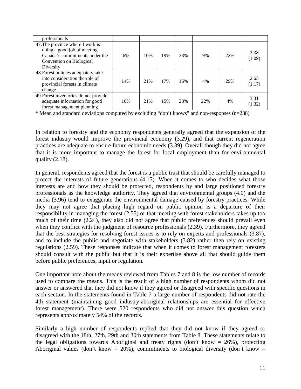| professionals                                                                                                                              |     |     |     |     |     |     |                |
|--------------------------------------------------------------------------------------------------------------------------------------------|-----|-----|-----|-----|-----|-----|----------------|
| 47. The province where I work is<br>doing a good job of meeting<br>Canada's commitments under the<br>Convention on Biological<br>Diversity | 6%  | 10% | 19% | 33% | 9%  | 22% | 3.38<br>(1.09) |
| 48. Forest policies adequately take<br>into consideration the role of<br>provincial forests in climate<br>change                           | 14% | 21% | 17% | 16% | 4%  | 29% | 2.65<br>(1.17) |
| 49. Forest inventories do not provide<br>adequate information for good<br>forest management planning                                       | 10% | 21% | 15% | 28% | 22% | 4%  | 3.31<br>(1.32) |

\* Mean and standard deviations computed by excluding "don't knows" and non-responses (n=288)

In relation to forestry and the economy respondents generally agreed that the expansion of the forest industry would improve the provincial economy (3.29), and that current regeneration practices are adequate to ensure future economic needs (3.39). Overall though they did not agree that it is more important to manage the forest for local employment than for environmental quality (2.18).

In general, respondents agreed that the forest is a public trust that should be carefully managed to protect the interests of future generations (4.15). When it comes to who decides what those interests are and how they should be protected, respondents by and large positioned forestry professionals as the knowledge authority. They agreed that environmental groups (4.0) and the media (3.96) tend to exaggerate the environmental damage caused by forestry practices. While they may not agree that placing high regard on public opinion is a departure of their responsibility in managing the forest (2.55) or that meeting with forest stakeholders takes up too much of their time (2.24), they also did not agree that public preferences should prevail even when they conflict with the judgment of resource professionals  $(2.39)$ . Furthermore, they agreed that the best strategies for resolving forest issues is to rely on experts and professionals (3.87), and to include the public and negotiate with stakeholders (3.82) rather then rely on existing regulations (2.59). These responses indicate that when it comes to forest management foresters should consult with the public but that it is their expertise above all that should guide them before public preferences, input or regulation.

One important note about the means reviewed from Tables 7 and 8 is the low number of records used to compare the means. This is the result of a high number of respondents whom did not answer or answered that they did not know if they agreed or disagreed with specific questions in each section. In the statements found in Table 7 a large number of respondents did not rate the 4th statement (maintaining good industry-aboriginal relationships are essential for effective forest management). There were 520 respondents who did not answer this question which represents approximately 54% of the records.

Similarly a high number of respondents replied that they did not know if they agreed or disagreed with the 18th, 27th, 29th and 30th statements from Table 8. These statements relate to the legal obligations towards Aboriginal and treaty rights (don't know  $= 26\%$ ), protecting Aboriginal values (don't know =  $20\%$ ), commitments to biological diversity (don't know =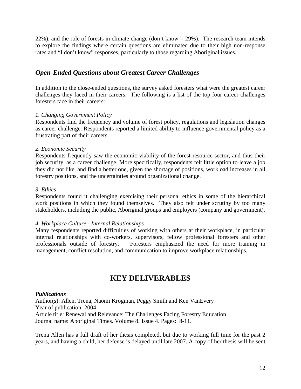22%), and the role of forests in climate change (don't know  $= 29\%$ ). The research team intends to explore the findings where certain questions are eliminated due to their high non-response rates and "I don't know" responses, particularly to those regarding Aboriginal issues.

#### *Open-Ended Questions about Greatest Career Challenges*

In addition to the close-ended questions, the survey asked foresters what were the greatest career challenges they faced in their careers. The following is a list of the top four career challenges foresters face in their careers:

#### *1. Changing Government Policy*

Respondents find the frequency and volume of forest policy, regulations and legislation changes as career challenge. Respondents reported a limited ability to influence governmental policy as a frustrating part of their careers.

#### *2. Economic Security*

Respondents frequently saw the economic viability of the forest resource sector, and thus their job security, as a career challenge. More specifically, respondents felt little option to leave a job they did not like, and find a better one, given the shortage of positions, workload increases in all forestry positions, and the uncertainties around organizational change.

#### *3. Ethics*

Respondents found it challenging exercising their personal ethics in some of the hierarchical work positions in which they found themselves. They also felt under scrutiny by too many stakeholders, including the public, Aboriginal groups and employers (company and government).

#### *4. Workplace Culture - Internal Relationships*

Many respondents reported difficulties of working with others at their workplace, in particular internal relationships with co-workers, supervisors, fellow professional foresters and other professionals outside of forestry. Foresters emphasized the need for more training in management, conflict resolution, and communication to improve workplace relationships.

# **KEY DELIVERABLES**

#### *Publications*

Author(s): Allen, Trena, Naomi Krogman, Peggy Smith and Ken VanEvery Year of publication: 2004 Article title: Renewal and Relevance: The Challenges Facing Forestry Education Journal name: Aboriginal Times. Volume 8. Issue 4. Pages: 8-11.

Trena Allen has a full draft of her thesis completed, but due to working full time for the past 2 years, and having a child, her defense is delayed until late 2007. A copy of her thesis will be sent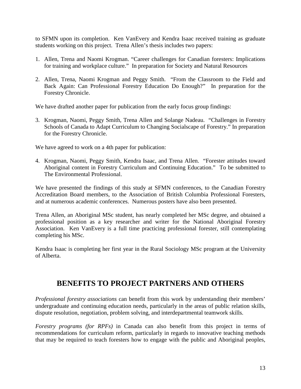to SFMN upon its completion. Ken VanEvery and Kendra Isaac received training as graduate students working on this project. Trena Allen's thesis includes two papers:

- 1. Allen, Trena and Naomi Krogman. "Career challenges for Canadian foresters: Implications for training and workplace culture." In preparation for Society and Natural Resources
- 2. Allen, Trena, Naomi Krogman and Peggy Smith. "From the Classroom to the Field and Back Again: Can Professional Forestry Education Do Enough?" In preparation for the Forestry Chronicle.

We have drafted another paper for publication from the early focus group findings:

3. Krogman, Naomi, Peggy Smith, Trena Allen and Solange Nadeau. "Challenges in Forestry Schools of Canada to Adapt Curriculum to Changing Socialscape of Forestry." In preparation for the Forestry Chronicle.

We have agreed to work on a 4th paper for publication:

4. Krogman, Naomi, Peggy Smith, Kendra Isaac, and Trena Allen. "Forester attitudes toward Aboriginal content in Forestry Curriculum and Continuing Education." To be submitted to The Environmental Professional.

We have presented the findings of this study at SFMN conferences, to the Canadian Forestry Accreditation Board members, to the Association of British Columbia Professional Foresters, and at numerous academic conferences. Numerous posters have also been presented.

Trena Allen, an Aboriginal MSc student, has nearly completed her MSc degree, and obtained a professional position as a key researcher and writer for the National Aboriginal Forestry Association. Ken VanEvery is a full time practicing professional forester, still contemplating completing his MSc.

Kendra Isaac is completing her first year in the Rural Sociology MSc program at the University of Alberta.

# **BENEFITS TO PROJECT PARTNERS AND OTHERS**

*Professional forestry associations* can benefit from this work by understanding their members' undergraduate and continuing education needs, particularly in the areas of public relation skills, dispute resolution, negotiation, problem solving, and interdepartmental teamwork skills.

*Forestry programs (for RPFs)* in Canada can also benefit from this project in terms of recommendations for curriculum reform, particularly in regards to innovative teaching methods that may be required to teach foresters how to engage with the public and Aboriginal peoples,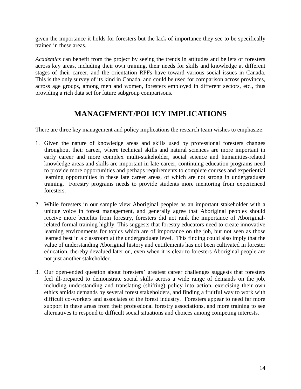given the importance it holds for foresters but the lack of importance they see to be specifically trained in these areas.

*Academics* can benefit from the project by seeing the trends in attitudes and beliefs of foresters across key areas, including their own training, their needs for skills and knowledge at different stages of their career, and the orientation RPFs have toward various social issues in Canada. This is the only survey of its kind in Canada, and could be used for comparison across provinces, across age groups, among men and women, foresters employed in different sectors, etc., thus providing a rich data set for future subgroup comparisons.

# **MANAGEMENT/POLICY IMPLICATIONS**

There are three key management and policy implications the research team wishes to emphasize:

- 1. Given the nature of knowledge areas and skills used by professional foresters changes throughout their career, where technical skills and natural sciences are more important in early career and more complex multi-stakeholder, social science and humanities-related knowledge areas and skills are important in late career, continuing education programs need to provide more opportunities and perhaps requirements to complete courses and experiential learning opportunities in these late career areas, of which are not strong in undergraduate training. Forestry programs needs to provide students more mentoring from experienced foresters.
- 2. While foresters in our sample view Aboriginal peoples as an important stakeholder with a unique voice in forest management, and generally agree that Aboriginal peoples should receive more benefits from forestry, foresters did not rank the importance of Aboriginalrelated formal training highly. This suggests that forestry educators need to create innovative learning environments for topics which are of importance on the job, but not seen as those learned best in a classroom at the undergraduate level. This finding could also imply that the value of understanding Aboriginal history and entitlements has not been cultivated in forester education, thereby devalued later on, even when it is clear to foresters Aboriginal people are not just another stakeholder.
- 3. Our open-ended question about foresters' greatest career challenges suggests that foresters feel ill-prepared to demonstrate social skills across a wide range of demands on the job, including understanding and translating (shifting) policy into action, exercising their own ethics amidst demands by several forest stakeholders, and finding a fruitful way to work with difficult co-workers and associates of the forest industry. Foresters appear to need far more support in these areas from their professional forestry associations, and more training to see alternatives to respond to difficult social situations and choices among competing interests.